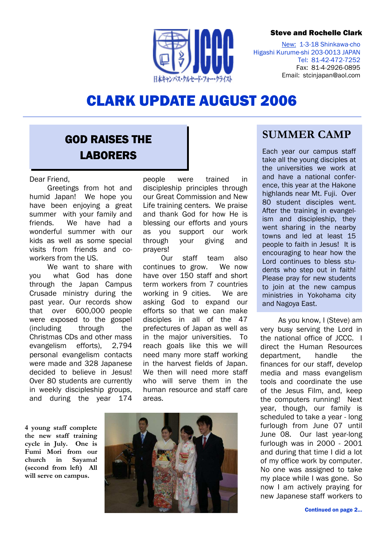### Steve and Rochelle Clark



New: 1-3-18 Shinkawa-cho Higashi Kurume-shi 203-0013 JAPAN Tel: 81-42-472-7252 Fax: 81-4-2926-0895 Email: stcinjapan@aol.com

# CLARK UPDATE AUGUST 2006

# **GOD RAISES THE** LABORERS

#### Dear Friend,

Greetings from hot and humid Japan! We hope you have been enjoying a great summer with your family and friends. We have had a wonderful summer with our kids as well as some special visits from friends and coworkers from the US.

We want to share with you what God has done through the Japan Campus Crusade ministry during the past year. Our records show that over 600,000 people were exposed to the gospel (including through the Christmas CDs and other mass evangelism efforts), 2,794 personal evangelism contacts were made and 328 Japanese decided to believe in Jesus! Over 80 students are currently in weekly discipleship groups, and during the year 174

4 young staff complete the new staff training cycle in July. One is Fumi Mori from our church in Sayama! (second from left) All will serve on campus.

people were trained in discipleship principles through our Great Commission and New Life training centers. We praise and thank God for how He is blessing our efforts and yours as you support our work through your giving and prayers!

Our staff team also continues to grow. We now have over 150 staff and short term workers from 7 countries working in 9 cities. We are asking God to expand our efforts so that we can make disciples in all of the 47 prefectures of Japan as well as in the major universities. To reach goals like this we will need many more staff working in the harvest fields of Japan. We then will need more staff who will serve them in the human resource and staff care areas.



## SUMMER CAMP

Each year our campus staff take all the young disciples at the universities we work at and have a national conference, this year at the Hakone highlands near Mt. Fuji. Over 80 student disciples went. After the training in evangelism and discipleship, they went sharing in the nearby towns and led at least 15 people to faith in Jesus! It is encouraging to hear how the Lord continues to bless students who step out in faith! Please pray for new students to join at the new campus ministries in Yokohama city and Nagoya East.

As you know, I (Steve) am very busy serving the Lord in the national office of JCCC. I direct the Human Resources department, handle the finances for our staff, develop media and mass evangelism tools and coordinate the use of the Jesus Film, and, keep the computers running! Next year, though, our family is scheduled to take a year - long furlough from June 07 until June 08. Our last year-long furlough was in 2000 - 2001 and during that time I did a lot of my office work by computer. No one was assigned to take my place while I was gone. So now I am actively praying for new Japanese staff workers to